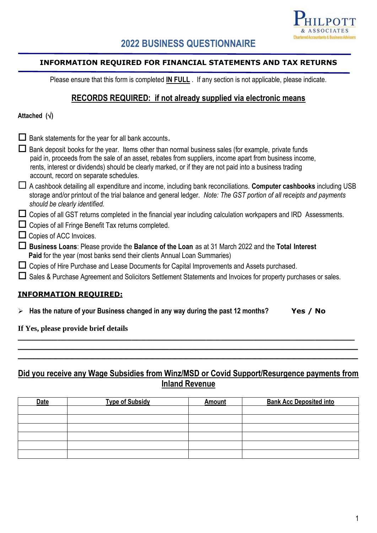

# **2022 BUSINESS QUESTIONNAIRE**

## **INFORMATION REQUIRED FOR FINANCIAL STATEMENTS AND TAX RETURNS**

Please ensure that this form is completed **IN FULL** . If any section is not applicable, please indicate.

## **RECORDS REQUIRED: if not already supplied via electronic means**

## **Attached ()**

| Ш | Bank statements for the year for all bank accounts.                                                                                                                                                                                                                                                                                                                 |
|---|---------------------------------------------------------------------------------------------------------------------------------------------------------------------------------------------------------------------------------------------------------------------------------------------------------------------------------------------------------------------|
|   | Bank deposit books for the year. Items other than normal business sales (for example, private funds<br>paid in, proceeds from the sale of an asset, rebates from suppliers, income apart from business income,<br>rents, interest or dividends) should be clearly marked, or if they are not paid into a business trading<br>account, record on separate schedules. |
| ப | A cashbook detailing all expenditure and income, including bank reconciliations. Computer cashbooks including USB<br>storage and/or printout of the trial balance and general ledger. Note: The GST portion of all receipts and payments<br>should be clearly identified.                                                                                           |
|   | Copies of all GST returns completed in the financial year including calculation workpapers and IRD Assessments.                                                                                                                                                                                                                                                     |
|   | Copies of all Fringe Benefit Tax returns completed.                                                                                                                                                                                                                                                                                                                 |
|   | $\Box$ Copies of ACC Invoices.                                                                                                                                                                                                                                                                                                                                      |
| ப | Business Loans: Please provide the Balance of the Loan as at 31 March 2022 and the Total Interest<br>Paid for the year (most banks send their clients Annual Loan Summaries)                                                                                                                                                                                        |
|   | $\Box$ Copies of Hire Purchase and Lease Documents for Capital Improvements and Assets purchased.                                                                                                                                                                                                                                                                   |
|   | □ Sales & Purchase Agreement and Solicitors Settlement Statements and Invoices for property purchases or sales.                                                                                                                                                                                                                                                     |
|   | <b>INFORMATION REQUIRED:</b>                                                                                                                                                                                                                                                                                                                                        |
|   | $\triangleright$ Has the nature of your Business changed in any way during the past 12 months?<br>Yes / No                                                                                                                                                                                                                                                          |

## **If Yes, please provide brief details**

# **Did you receive any Wage Subsidies from Winz/MSD or Covid Support/Resurgence payments from Inland Revenue**

**\_\_\_\_\_\_\_\_\_\_\_\_\_\_\_\_\_\_\_\_\_\_\_\_\_\_\_\_\_\_\_\_\_\_\_\_\_\_\_\_\_\_\_\_\_\_\_\_\_\_\_\_\_\_\_\_\_\_\_\_\_\_\_\_\_\_\_\_ \_\_\_\_\_\_\_\_\_\_\_\_\_\_\_\_\_\_\_\_\_\_\_\_\_\_\_\_\_\_\_\_\_\_\_\_\_\_\_\_\_\_\_\_\_\_\_\_\_\_\_\_\_\_\_\_\_\_\_\_\_\_\_ \_\_\_\_\_\_\_\_\_\_\_\_\_\_\_\_\_\_\_\_\_\_\_\_\_\_\_\_\_\_\_\_\_\_\_\_\_\_\_\_\_\_\_\_\_\_\_\_\_\_\_\_\_\_\_\_\_\_\_\_\_\_\_**

| <b>Date</b> | <b>Type of Subsidy</b> | <b>Amount</b> | <b>Bank Acc Deposited into</b> |
|-------------|------------------------|---------------|--------------------------------|
|             |                        |               |                                |
|             |                        |               |                                |
|             |                        |               |                                |
|             |                        |               |                                |
|             |                        |               |                                |
|             |                        |               |                                |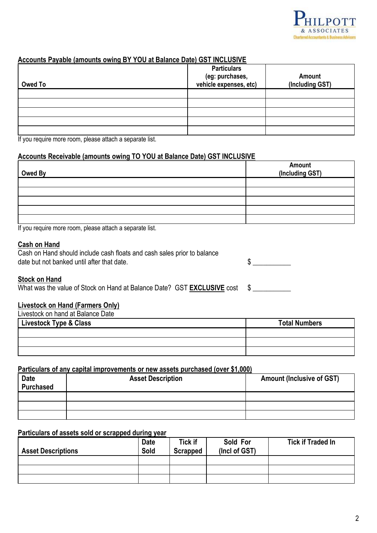

## **Accounts Payable (amounts owing BY YOU at Balance Date) GST INCLUSIVE**

| Owed To | <b>Particulars</b><br>(eg: purchases,<br>vehicle expenses, etc) | Amount<br>(Including GST) |
|---------|-----------------------------------------------------------------|---------------------------|
|         |                                                                 |                           |
|         |                                                                 |                           |
|         |                                                                 |                           |
|         |                                                                 |                           |
|         |                                                                 |                           |

If you require more room, please attach a separate list.

## **Accounts Receivable (amounts owing TO YOU at Balance Date) GST INCLUSIVE**

| Owed By | <b>Amount</b><br>(Including GST) |
|---------|----------------------------------|
|         |                                  |
|         |                                  |
|         |                                  |
|         |                                  |
|         |                                  |

If you require more room, please attach a separate list.

#### **Cash on Hand**

| Cash on Hand should include cash floats and cash sales prior to balance |  |
|-------------------------------------------------------------------------|--|
| date but not banked until after that date.                              |  |

 $\frac{1}{2}$ 

### **Stock on Hand**

What was the value of Stock on Hand at Balance Date? GST **EXCLUSIVE** cost \$

## **Livestock on Hand (Farmers Only)**

| Livestock on hand at Balance Date |                      |  |  |  |
|-----------------------------------|----------------------|--|--|--|
| Livestock Type & Class            | <b>Total Numbers</b> |  |  |  |
|                                   |                      |  |  |  |
|                                   |                      |  |  |  |
|                                   |                      |  |  |  |

#### **Particulars of any capital improvements or new assets purchased (over \$1,000)**

| <b>Date</b><br>Purchased | <b>Asset Description</b> | <b>Amount (Inclusive of GST)</b> |
|--------------------------|--------------------------|----------------------------------|
|                          |                          |                                  |
|                          |                          |                                  |
|                          |                          |                                  |

## **Particulars of assets sold or scrapped during year**

| <b>Asset Descriptions</b> | <b>Date</b><br>Sold | <b>Tick if</b><br>Scrapped | Sold For<br>(Incl of GST) | <b>Tick if Traded In</b> |
|---------------------------|---------------------|----------------------------|---------------------------|--------------------------|
|                           |                     |                            |                           |                          |
|                           |                     |                            |                           |                          |
|                           |                     |                            |                           |                          |